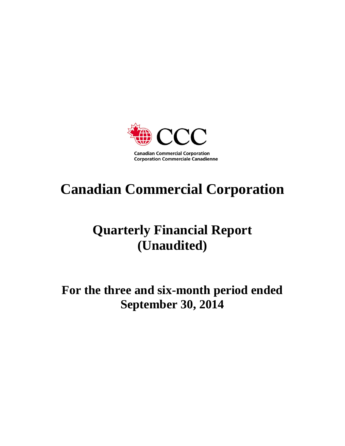

# **Canadian Commercial Corporation**

## **Quarterly Financial Report (Unaudited)**

**For the three and six-month period ended September 30, 2014**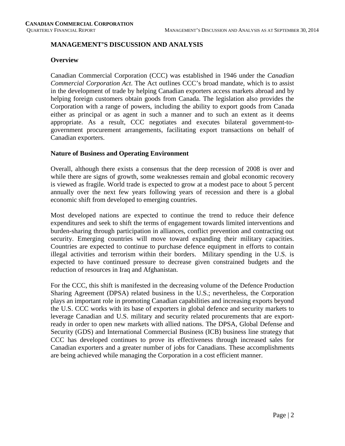#### **MANAGEMENT'S DISCUSSION AND ANALYSIS**

#### **Overview**

Canadian Commercial Corporation (CCC) was established in 1946 under the *Canadian Commercial Corporation Act*. The Act outlines CCC's broad mandate, which is to assist in the development of trade by helping Canadian exporters access markets abroad and by helping foreign customers obtain goods from Canada. The legislation also provides the Corporation with a range of powers, including the ability to export goods from Canada either as principal or as agent in such a manner and to such an extent as it deems appropriate. As a result, CCC negotiates and executes bilateral government-togovernment procurement arrangements, facilitating export transactions on behalf of Canadian exporters.

#### **Nature of Business and Operating Environment**

Overall, although there exists a consensus that the deep recession of 2008 is over and while there are signs of growth, some weaknesses remain and global economic recovery is viewed as fragile. World trade is expected to grow at a modest pace to about 5 percent annually over the next few years following years of recession and there is a global economic shift from developed to emerging countries.

Most developed nations are expected to continue the trend to reduce their defence expenditures and seek to shift the terms of engagement towards limited interventions and burden-sharing through participation in alliances, conflict prevention and contracting out security. Emerging countries will move toward expanding their military capacities. Countries are expected to continue to purchase defence equipment in efforts to contain illegal activities and terrorism within their borders. Military spending in the U.S. is expected to have continued pressure to decrease given constrained budgets and the reduction of resources in Iraq and Afghanistan.

For the CCC, this shift is manifested in the decreasing volume of the Defence Production Sharing Agreement (DPSA) related business in the U.S.; nevertheless, the Corporation plays an important role in promoting Canadian capabilities and increasing exports beyond the U.S. CCC works with its base of exporters in global defence and security markets to leverage Canadian and U.S. military and security related procurements that are exportready in order to open new markets with allied nations. The DPSA, Global Defense and Security (GDS) and International Commercial Business (ICB) business line strategy that CCC has developed continues to prove its effectiveness through increased sales for Canadian exporters and a greater number of jobs for Canadians. These accomplishments are being achieved while managing the Corporation in a cost efficient manner.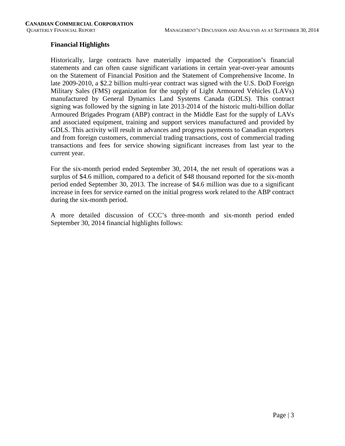#### **Financial Highlights**

Historically, large contracts have materially impacted the Corporation's financial statements and can often cause significant variations in certain year-over-year amounts on the Statement of Financial Position and the Statement of Comprehensive Income. In late 2009-2010, a \$2.2 billion multi-year contract was signed with the U.S. DoD Foreign Military Sales (FMS) organization for the supply of Light Armoured Vehicles (LAVs) manufactured by General Dynamics Land Systems Canada (GDLS). This contract signing was followed by the signing in late 2013-2014 of the historic multi-billion dollar Armoured Brigades Program (ABP) contract in the Middle East for the supply of LAVs and associated equipment, training and support services manufactured and provided by GDLS. This activity will result in advances and progress payments to Canadian exporters and from foreign customers, commercial trading transactions, cost of commercial trading transactions and fees for service showing significant increases from last year to the current year.

For the six-month period ended September 30, 2014, the net result of operations was a surplus of \$4.6 million, compared to a deficit of \$48 thousand reported for the six-month period ended September 30, 2013. The increase of \$4.6 million was due to a significant increase in fees for service earned on the initial progress work related to the ABP contract during the six-month period.

A more detailed discussion of CCC's three-month and six-month period ended September 30, 2014 financial highlights follows: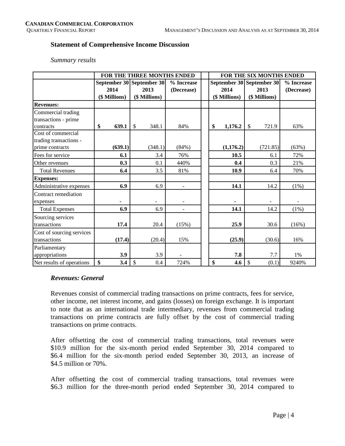#### **Statement of Comprehensive Income Discussion**

#### *Summary results*

|                           |               | FOR THE THREE MONTHS ENDED |            |    |               | <b>FOR THE SIX MONTHS ENDED</b> |            |
|---------------------------|---------------|----------------------------|------------|----|---------------|---------------------------------|------------|
|                           |               | September 30 September 30  | % Increase |    |               | September 30 September 30       | % Increase |
|                           | 2014          | 2013                       | (Decrease) |    | 2014          | 2013                            | (Decrease) |
|                           | (\$ Millions) | (\$ Millions)              |            |    | (\$ Millions) | (\$ Millions)                   |            |
| <b>Revenues:</b>          |               |                            |            |    |               |                                 |            |
| Commercial trading        |               |                            |            |    |               |                                 |            |
| transactions - prime      |               |                            |            |    |               |                                 |            |
| contracts                 | \$<br>639.1   | $\mathbb{S}$<br>348.1      | 84%        | \$ | 1,176.2       | $\mathcal{S}$<br>721.9          | 63%        |
| Cost of commercial        |               |                            |            |    |               |                                 |            |
| trading transactions -    |               |                            |            |    |               |                                 |            |
| prime contracts           | (639.1)       | (348.1)                    | (84%)      |    | (1,176.2)     | (721.85)                        | (63%)      |
| Fees for service          | 6.1           | 3.4                        | 76%        |    | 10.5          | 6.1                             | 72%        |
| Other revenues            | 0.3           | 0.1                        | 440%       |    | 0.4           | 0.3                             | 21%        |
| <b>Total Revenues</b>     | 6.4           | 3.5                        | 81%        |    | 10.9          | 6.4                             | 70%        |
| <b>Expenses:</b>          |               |                            |            |    |               |                                 |            |
| Administrative expenses   | 6.9           | 6.9                        |            |    | 14.1          | 14.2                            | $(1\%)$    |
| Contract remediation      |               |                            |            |    |               |                                 |            |
| expenses                  |               |                            |            |    |               |                                 |            |
| <b>Total Expenses</b>     | 6.9           | 6.9                        |            |    | 14.1          | 14.2                            | $(1\%)$    |
| Sourcing services         |               |                            |            |    |               |                                 |            |
| transactions              | 17.4          | 20.4                       | (15%)      |    | 25.9          | 30.6                            | (16%)      |
| Cost of sourcing services |               |                            |            |    |               |                                 |            |
| transactions              | (17.4)        | (20.4)                     | 15%        |    | (25.9)        | (30.6)                          | 16%        |
| Parliamentary             |               |                            |            |    |               |                                 |            |
| appropriations            | 3.9           | 3.9                        |            |    | 7.8           | 7.7                             | 1%         |
| Net results of operations | \$<br>3.4     | \$<br>0.4                  | 724%       | \$ | 4.6           | \$<br>(0.1)                     | 9240%      |

#### *Revenues: General*

Revenues consist of commercial trading transactions on prime contracts, fees for service, other income, net interest income, and gains (losses) on foreign exchange. It is important to note that as an international trade intermediary, revenues from commercial trading transactions on prime contracts are fully offset by the cost of commercial trading transactions on prime contracts.

After offsetting the cost of commercial trading transactions, total revenues were \$10.9 million for the six-month period ended September 30, 2014 compared to \$6.4 million for the six-month period ended September 30, 2013, an increase of \$4.5 million or 70%.

After offsetting the cost of commercial trading transactions, total revenues were \$6.3 million for the three-month period ended September 30, 2014 compared to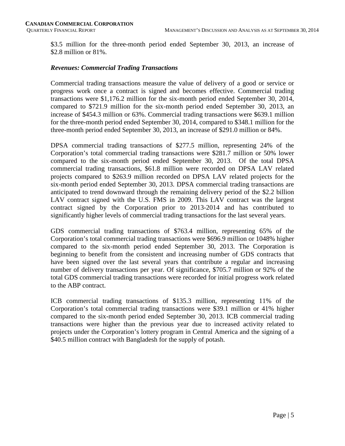\$3.5 million for the three-month period ended September 30, 2013, an increase of \$2.8 million or 81%.

#### *Revenues: Commercial Trading Transactions*

Commercial trading transactions measure the value of delivery of a good or service or progress work once a contract is signed and becomes effective. Commercial trading transactions were \$1,176.2 million for the six-month period ended September 30, 2014, compared to \$721.9 million for the six-month period ended September 30, 2013, an increase of \$454.3 million or 63%. Commercial trading transactions were \$639.1 million for the three-month period ended September 30, 2014, compared to \$348.1 million for the three-month period ended September 30, 2013, an increase of \$291.0 million or 84%.

DPSA commercial trading transactions of \$277.5 million, representing 24% of the Corporation's total commercial trading transactions were \$281.7 million or 50% lower compared to the six-month period ended September 30, 2013. Of the total DPSA commercial trading transactions, \$61.8 million were recorded on DPSA LAV related projects compared to \$263.9 million recorded on DPSA LAV related projects for the six-month period ended September 30, 2013. DPSA commercial trading transactions are anticipated to trend downward through the remaining delivery period of the \$2.2 billion LAV contract signed with the U.S. FMS in 2009. This LAV contract was the largest contract signed by the Corporation prior to 2013-2014 and has contributed to significantly higher levels of commercial trading transactions for the last several years.

GDS commercial trading transactions of \$763.4 million, representing 65% of the Corporation's total commercial trading transactions were \$696.9 million or 1048% higher compared to the six-month period ended September 30, 2013. The Corporation is beginning to benefit from the consistent and increasing number of GDS contracts that have been signed over the last several years that contribute a regular and increasing number of delivery transactions per year. Of significance, \$705.7 million or 92% of the total GDS commercial trading transactions were recorded for initial progress work related to the ABP contract.

ICB commercial trading transactions of \$135.3 million, representing 11% of the Corporation's total commercial trading transactions were \$39.1 million or 41% higher compared to the six-month period ended September 30, 2013. ICB commercial trading transactions were higher than the previous year due to increased activity related to projects under the Corporation's lottery program in Central America and the signing of a \$40.5 million contract with Bangladesh for the supply of potash.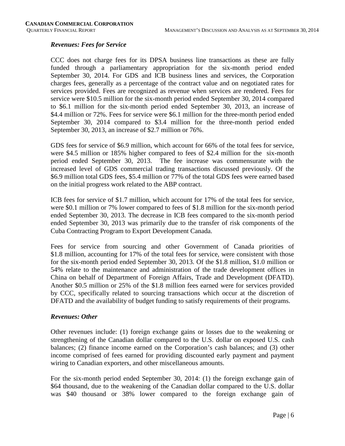#### *Revenues: Fees for Service*

CCC does not charge fees for its DPSA business line transactions as these are fully funded through a parliamentary appropriation for the six-month period ended September 30, 2014. For GDS and ICB business lines and services, the Corporation charges fees, generally as a percentage of the contract value and on negotiated rates for services provided. Fees are recognized as revenue when services are rendered. Fees for service were \$10.5 million for the six-month period ended September 30, 2014 compared to \$6.1 million for the six-month period ended September 30, 2013, an increase of \$4.4 million or 72%. Fees for service were \$6.1 million for the three-month period ended September 30, 2014 compared to \$3.4 million for the three-month period ended September 30, 2013, an increase of \$2.7 million or 76%.

GDS fees for service of \$6.9 million, which account for 66% of the total fees for service, were \$4.5 million or 185% higher compared to fees of \$2.4 million for the six-month period ended September 30, 2013. The fee increase was commensurate with the increased level of GDS commercial trading transactions discussed previously. Of the \$6.9 million total GDS fees, \$5.4 million or 77% of the total GDS fees were earned based on the initial progress work related to the ABP contract.

ICB fees for service of \$1.7 million, which account for 17% of the total fees for service, were \$0.1 million or 7% lower compared to fees of \$1.8 million for the six-month period ended September 30, 2013. The decrease in ICB fees compared to the six-month period ended September 30, 2013 was primarily due to the transfer of risk components of the Cuba Contracting Program to Export Development Canada.

Fees for service from sourcing and other Government of Canada priorities of \$1.8 million, accounting for 17% of the total fees for service, were consistent with those for the six-month period ended September 30, 2013. Of the \$1.8 million, \$1.0 million or 54% relate to the maintenance and administration of the trade development offices in China on behalf of Department of Foreign Affairs, Trade and Development (DFATD). Another \$0.5 million or 25% of the \$1.8 million fees earned were for services provided by CCC, specifically related to sourcing transactions which occur at the discretion of DFATD and the availability of budget funding to satisfy requirements of their programs.

#### *Revenues: Other*

Other revenues include: (1) foreign exchange gains or losses due to the weakening or strengthening of the Canadian dollar compared to the U.S. dollar on exposed U.S. cash balances; (2) finance income earned on the Corporation's cash balances; and (3) other income comprised of fees earned for providing discounted early payment and payment wiring to Canadian exporters, and other miscellaneous amounts.

For the six-month period ended September 30, 2014: (1) the foreign exchange gain of \$64 thousand, due to the weakening of the Canadian dollar compared to the U.S. dollar was \$40 thousand or 38% lower compared to the foreign exchange gain of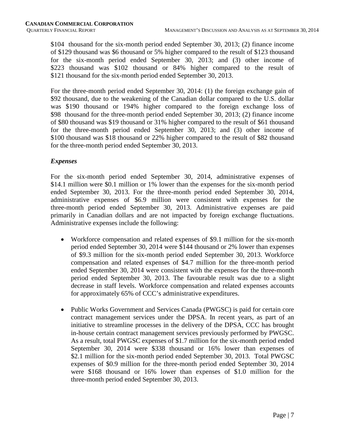\$104 thousand for the six-month period ended September 30, 2013; (2) finance income of \$129 thousand was \$6 thousand or 5% higher compared to the result of \$123 thousand for the six-month period ended September 30, 2013; and (3) other income of \$223 thousand was \$102 thousand or 84% higher compared to the result of \$121 thousand for the six-month period ended September 30, 2013.

For the three-month period ended September 30, 2014: (1) the foreign exchange gain of \$92 thousand, due to the weakening of the Canadian dollar compared to the U.S. dollar was \$190 thousand or 194% higher compared to the foreign exchange loss of \$98 thousand for the three-month period ended September 30, 2013; (2) finance income of \$80 thousand was \$19 thousand or 31% higher compared to the result of \$61 thousand for the three-month period ended September 30, 2013; and (3) other income of \$100 thousand was \$18 thousand or 22% higher compared to the result of \$82 thousand for the three-month period ended September 30, 2013.

#### *Expenses*

For the six-month period ended September 30, 2014, administrative expenses of \$14.1 million were \$0.1 million or 1% lower than the expenses for the six-month period ended September 30, 2013. For the three-month period ended September 30, 2014, administrative expenses of \$6.9 million were consistent with expenses for the three-month period ended September 30, 2013. Administrative expenses are paid primarily in Canadian dollars and are not impacted by foreign exchange fluctuations. Administrative expenses include the following:

- Workforce compensation and related expenses of \$9.1 million for the six-month period ended September 30, 2014 were \$144 thousand or 2% lower than expenses of \$9.3 million for the six-month period ended September 30, 2013. Workforce compensation and related expenses of \$4.7 million for the three-month period ended September 30, 2014 were consistent with the expenses for the three-month period ended September 30, 2013. The favourable result was due to a slight decrease in staff levels. Workforce compensation and related expenses accounts for approximately 65% of CCC's administrative expenditures.
- Public Works Government and Services Canada (PWGSC) is paid for certain core contract management services under the DPSA. In recent years, as part of an initiative to streamline processes in the delivery of the DPSA, CCC has brought in-house certain contract management services previously performed by PWGSC. As a result, total PWGSC expenses of \$1.7 million for the six-month period ended September 30, 2014 were \$338 thousand or 16% lower than expenses of \$2.1 million for the six-month period ended September 30, 2013. Total PWGSC expenses of \$0.9 million for the three-month period ended September 30, 2014 were \$168 thousand or 16% lower than expenses of \$1.0 million for the three-month period ended September 30, 2013.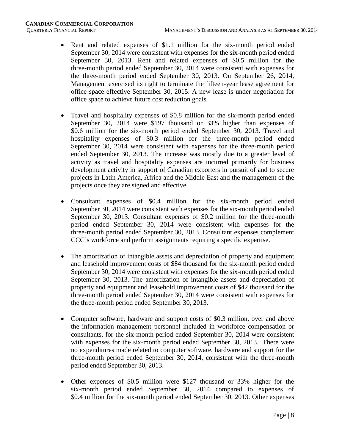- Rent and related expenses of \$1.1 million for the six-month period ended September 30, 2014 were consistent with expenses for the six-month period ended September 30, 2013. Rent and related expenses of \$0.5 million for the three-month period ended September 30, 2014 were consistent with expenses for the three-month period ended September 30, 2013. On September 26, 2014, Management exercised its right to terminate the fifteen-year lease agreement for office space effective September 30, 2015. A new lease is under negotiation for office space to achieve future cost reduction goals.
- Travel and hospitality expenses of \$0.8 million for the six-month period ended September 30, 2014 were \$197 thousand or 33% higher than expenses of \$0.6 million for the six-month period ended September 30, 2013. Travel and hospitality expenses of \$0.3 million for the three-month period ended September 30, 2014 were consistent with expenses for the three-month period ended September 30, 2013. The increase was mostly due to a greater level of activity as travel and hospitality expenses are incurred primarily for business development activity in support of Canadian exporters in pursuit of and to secure projects in Latin America, Africa and the Middle East and the management of the projects once they are signed and effective.
- Consultant expenses of \$0.4 million for the six-month period ended September 30, 2014 were consistent with expenses for the six-month period ended September 30, 2013. Consultant expenses of \$0.2 million for the three-month period ended September 30, 2014 were consistent with expenses for the three-month period ended September 30, 2013. Consultant expenses complement CCC's workforce and perform assignments requiring a specific expertise.
- The amortization of intangible assets and depreciation of property and equipment and leasehold improvement costs of \$84 thousand for the six-month period ended September 30, 2014 were consistent with expenses for the six-month period ended September 30, 2013. The amortization of intangible assets and depreciation of property and equipment and leasehold improvement costs of \$42 thousand for the three-month period ended September 30, 2014 were consistent with expenses for the three-month period ended September 30, 2013.
- Computer software, hardware and support costs of \$0.3 million, over and above the information management personnel included in workforce compensation or consultants, for the six-month period ended September 30, 2014 were consistent with expenses for the six-month period ended September 30, 2013. There were no expenditures made related to computer software, hardware and support for the three-month period ended September 30, 2014, consistent with the three-month period ended September 30, 2013.
- Other expenses of \$0.5 million were \$127 thousand or 33% higher for the six-month period ended September 30, 2014 compared to expenses of \$0.4 million for the six-month period ended September 30, 2013. Other expenses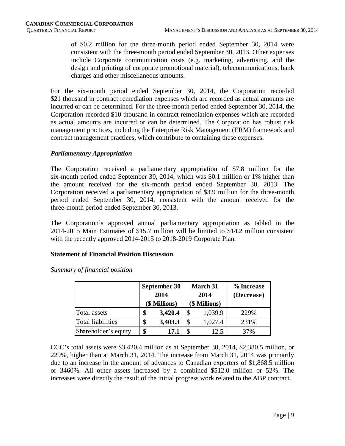of \$0.2 million for the three-month period ended September 30, 2014 were consistent with the three-month period ended September 30, 2013. Other expenses include Corporate communication costs (e.g. marketing, advertising, and the design and printing of corporate promotional material), telecommunications, bank charges and other miscellaneous amounts.

For the six-month period ended September 30, 2014, the Corporation recorded \$21 thousand in contract remediation expenses which are recorded as actual amounts are incurred or can be determined. For the three-month period ended September 30, 2014, the Corporation recorded \$10 thousand in contract remediation expenses which are recorded as actual amounts are incurred or can be determined. The Corporation has robust risk management practices, including the Enterprise Risk Management (ERM) framework and contract management practices, which contribute to containing these expenses.

#### *Parliamentary Appropriation*

The Corporation received a parliamentary appropriation of \$7.8 million for the six-month period ended September 30, 2014, which was \$0.1 million or 1% higher than the amount received for the six-month period ended September 30, 2013. The Corporation received a parliamentary appropriation of \$3.9 million for the three-month period ended September 30, 2014, consistent with the amount received for the three-month period ended September 30, 2013.

The Corporation's approved annual parliamentary appropriation as tabled in the 2014-2015 Main Estimates of \$15.7 million will be limited to \$14.2 million consistent with the recently approved 2014-2015 to 2018-2019 Corporate Plan.

#### **Statement of Financial Position Discussion**

|                          | <b>September 30</b><br>2014<br>(\$ Millions) | <b>March 31</b><br>2014<br>(\$ Millions) | % Increase<br>(Decrease) |  |  |
|--------------------------|----------------------------------------------|------------------------------------------|--------------------------|--|--|
| Total assets             | \$<br>3,420.4                                | 1,039.9                                  | 229%                     |  |  |
| <b>Total liabilities</b> | \$<br>3,403.3                                | 1,027.4                                  | 231%                     |  |  |
| Shareholder's equity     | \$<br>17.1                                   | 12.5                                     | 37%                      |  |  |

*Summary of financial position*

CCC's total assets were \$3,420.4 million as at September 30, 2014, \$2,380.5 million, or 229%, higher than at March 31, 2014. The increase from March 31, 2014 was primarily due to an increase in the amount of advances to Canadian exporters of \$1,868.5 million or 3460%. All other assets increased by a combined \$512.0 million or 52%. The increases were directly the result of the initial progress work related to the ABP contract.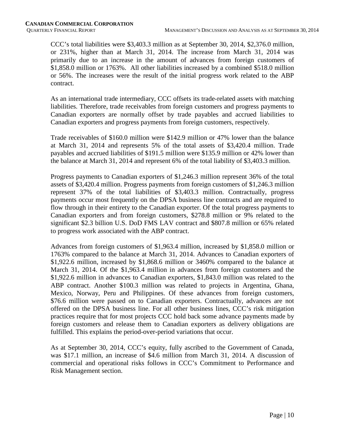CCC's total liabilities were \$3,403.3 million as at September 30, 2014, \$2,376.0 million, or 231%, higher than at March 31, 2014. The increase from March 31, 2014 was primarily due to an increase in the amount of advances from foreign customers of \$1,858.0 million or 1763%. All other liabilities increased by a combined \$518.0 million or 56%. The increases were the result of the initial progress work related to the ABP contract.

As an international trade intermediary, CCC offsets its trade-related assets with matching liabilities. Therefore, trade receivables from foreign customers and progress payments to Canadian exporters are normally offset by trade payables and accrued liabilities to Canadian exporters and progress payments from foreign customers, respectively.

Trade receivables of \$160.0 million were \$142.9 million or 47% lower than the balance at March 31, 2014 and represents 5% of the total assets of \$3,420.4 million. Trade payables and accrued liabilities of \$191.5 million were \$135.9 million or 42% lower than the balance at March 31, 2014 and represent 6% of the total liability of \$3,403.3 million.

Progress payments to Canadian exporters of \$1,246.3 million represent 36% of the total assets of \$3,420.4 million. Progress payments from foreign customers of \$1,246.3 million represent 37% of the total liabilities of \$3,403.3 million. Contractually, progress payments occur most frequently on the DPSA business line contracts and are required to flow through in their entirety to the Canadian exporter. Of the total progress payments to Canadian exporters and from foreign customers, \$278.8 million or 9% related to the significant \$2.3 billion U.S. DoD FMS LAV contract and \$807.8 million or 65% related to progress work associated with the ABP contract.

Advances from foreign customers of \$1,963.4 million, increased by \$1,858.0 million or 1763% compared to the balance at March 31, 2014. Advances to Canadian exporters of \$1,922.6 million, increased by \$1,868.6 million or 3460% compared to the balance at March 31, 2014. Of the \$1,963.4 million in advances from foreign customers and the \$1,922.6 million in advances to Canadian exporters, \$1,843.0 million was related to the ABP contract. Another \$100.3 million was related to projects in Argentina, Ghana, Mexico, Norway, Peru and Philippines. Of these advances from foreign customers, \$76.6 million were passed on to Canadian exporters. Contractually, advances are not offered on the DPSA business line. For all other business lines, CCC's risk mitigation practices require that for most projects CCC hold back some advance payments made by foreign customers and release them to Canadian exporters as delivery obligations are fulfilled. This explains the period-over-period variations that occur.

As at September 30, 2014, CCC's equity, fully ascribed to the Government of Canada, was \$17.1 million, an increase of \$4.6 million from March 31, 2014. A discussion of commercial and operational risks follows in CCC's Commitment to Performance and Risk Management section.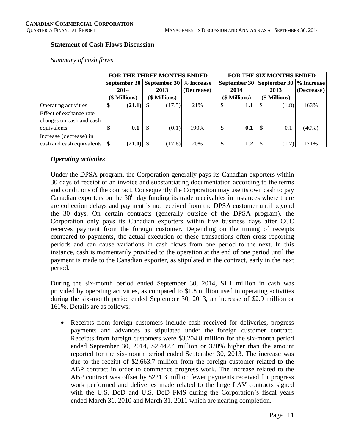#### **Statement of Cash Flows Discussion**

|                                             |      | FOR THE THREE MONTHS ENDED |      |               |                                          |      | <b>FOR THE SIX MONTHS ENDED</b> |                                          |               |          |  |  |  |
|---------------------------------------------|------|----------------------------|------|---------------|------------------------------------------|------|---------------------------------|------------------------------------------|---------------|----------|--|--|--|
|                                             |      |                            |      |               | September 30   September 30   % Increase |      |                                 | September 30   September 30   % Increase |               |          |  |  |  |
|                                             | 2014 |                            | 2013 | (Decrease)    |                                          | 2014 |                                 | 2013                                     | (Decrease)    |          |  |  |  |
|                                             |      | (\$ Millions)              |      | (\$ Millions) |                                          |      | (\$ Millions)                   |                                          | (\$ Millions) |          |  |  |  |
| <b>Operating activities</b>                 |      |                            |      | (17.5)        | 21%                                      |      | 1.1                             |                                          | (1.8)         | 163%     |  |  |  |
| Effect of exchange rate                     |      |                            |      |               |                                          |      |                                 |                                          |               |          |  |  |  |
| changes on cash and cash                    |      |                            |      |               |                                          |      |                                 |                                          |               |          |  |  |  |
| equivalents                                 | \$   | 0.1                        |      | (0.1)         | 190%                                     | \$   | 0.1                             |                                          | 0.1           | $(40\%)$ |  |  |  |
| Increase (decrease) in                      |      |                            |      |               |                                          |      |                                 |                                          |               |          |  |  |  |
| $\vert$ cash and cash equivalents $\vert \$ |      | $(21.0)$ \$                |      | (17.6)        | 20%                                      | \$   | 1.2                             | -S                                       | (1.7)         | 171%     |  |  |  |

*Summary of cash flows* 

#### *Operating activities*

Under the DPSA program, the Corporation generally pays its Canadian exporters within 30 days of receipt of an invoice and substantiating documentation according to the terms and conditions of the contract. Consequently the Corporation may use its own cash to pay Canadian exporters on the  $30<sup>th</sup>$  day funding its trade receivables in instances where there are collection delays and payment is not received from the DPSA customer until beyond the 30 days. On certain contracts (generally outside of the DPSA program), the Corporation only pays its Canadian exporters within five business days after CCC receives payment from the foreign customer. Depending on the timing of receipts compared to payments, the actual execution of these transactions often cross reporting periods and can cause variations in cash flows from one period to the next. In this instance, cash is momentarily provided to the operation at the end of one period until the payment is made to the Canadian exporter, as stipulated in the contract, early in the next period.

During the six-month period ended September 30, 2014, \$1.1 million in cash was provided by operating activities, as compared to \$1.8 million used in operating activities during the six-month period ended September 30, 2013, an increase of \$2.9 million or 161%. Details are as follows:

• Receipts from foreign customers include cash received for deliveries, progress payments and advances as stipulated under the foreign customer contract. Receipts from foreign customers were \$3,204.8 million for the six-month period ended September 30, 2014, \$2,442.4 million or 320% higher than the amount reported for the six-month period ended September 30, 2013. The increase was due to the receipt of \$2,663.7 million from the foreign customer related to the ABP contract in order to commence progress work. The increase related to the ABP contract was offset by \$221.3 million fewer payments received for progress work performed and deliveries made related to the large LAV contracts signed with the U.S. DoD and U.S. DoD FMS during the Corporation's fiscal years ended March 31, 2010 and March 31, 2011 which are nearing completion.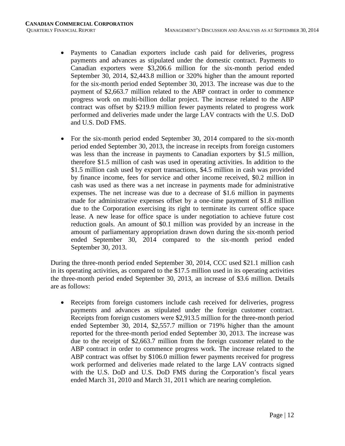- Payments to Canadian exporters include cash paid for deliveries, progress payments and advances as stipulated under the domestic contract. Payments to Canadian exporters were \$3,206.6 million for the six-month period ended September 30, 2014, \$2,443.8 million or 320% higher than the amount reported for the six-month period ended September 30, 2013. The increase was due to the payment of \$2,663.7 million related to the ABP contract in order to commence progress work on multi-billion dollar project. The increase related to the ABP contract was offset by \$219.9 million fewer payments related to progress work performed and deliveries made under the large LAV contracts with the U.S. DoD and U.S. DoD FMS.
- For the six-month period ended September 30, 2014 compared to the six-month period ended September 30, 2013, the increase in receipts from foreign customers was less than the increase in payments to Canadian exporters by \$1.5 million, therefore \$1.5 million of cash was used in operating activities. In addition to the \$1.5 million cash used by export transactions, \$4.5 million in cash was provided by finance income, fees for service and other income received, \$0.2 million in cash was used as there was a net increase in payments made for administrative expenses. The net increase was due to a decrease of \$1.6 million in payments made for administrative expenses offset by a one-time payment of \$1.8 million due to the Corporation exercising its right to terminate its current office space lease. A new lease for office space is under negotiation to achieve future cost reduction goals. An amount of \$0.1 million was provided by an increase in the amount of parliamentary appropriation drawn down during the six-month period ended September 30, 2014 compared to the six-month period ended September 30, 2013.

During the three-month period ended September 30, 2014, CCC used \$21.1 million cash in its operating activities, as compared to the \$17.5 million used in its operating activities the three-month period ended September 30, 2013, an increase of \$3.6 million. Details are as follows:

• Receipts from foreign customers include cash received for deliveries, progress payments and advances as stipulated under the foreign customer contract. Receipts from foreign customers were \$2,913.5 million for the three-month period ended September 30, 2014, \$2,557.7 million or 719% higher than the amount reported for the three-month period ended September 30, 2013. The increase was due to the receipt of \$2,663.7 million from the foreign customer related to the ABP contract in order to commence progress work. The increase related to the ABP contract was offset by \$106.0 million fewer payments received for progress work performed and deliveries made related to the large LAV contracts signed with the U.S. DoD and U.S. DoD FMS during the Corporation's fiscal years ended March 31, 2010 and March 31, 2011 which are nearing completion.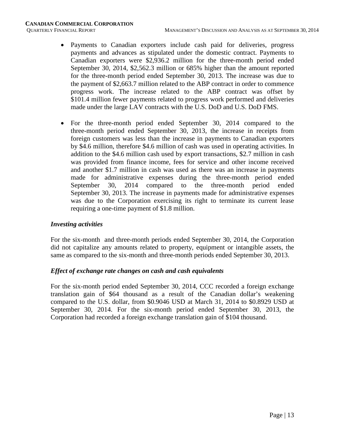- Payments to Canadian exporters include cash paid for deliveries, progress payments and advances as stipulated under the domestic contract. Payments to Canadian exporters were \$2,936.2 million for the three-month period ended September 30, 2014, \$2,562.3 million or 685% higher than the amount reported for the three-month period ended September 30, 2013. The increase was due to the payment of \$2,663.7 million related to the ABP contract in order to commence progress work. The increase related to the ABP contract was offset by \$101.4 million fewer payments related to progress work performed and deliveries made under the large LAV contracts with the U.S. DoD and U.S. DoD FMS.
- For the three-month period ended September 30, 2014 compared to the three-month period ended September 30, 2013, the increase in receipts from foreign customers was less than the increase in payments to Canadian exporters by \$4.6 million, therefore \$4.6 million of cash was used in operating activities. In addition to the \$4.6 million cash used by export transactions, \$2.7 million in cash was provided from finance income, fees for service and other income received and another \$1.7 million in cash was used as there was an increase in payments made for administrative expenses during the three-month period ended September 30, 2014 compared to the three-month period ended September 30, 2013. The increase in payments made for administrative expenses was due to the Corporation exercising its right to terminate its current lease requiring a one-time payment of \$1.8 million.

#### *Investing activities*

For the six-month and three-month periods ended September 30, 2014, the Corporation did not capitalize any amounts related to property, equipment or intangible assets, the same as compared to the six-month and three-month periods ended September 30, 2013.

#### *Effect of exchange rate changes on cash and cash equivalents*

For the six-month period ended September 30, 2014, CCC recorded a foreign exchange translation gain of \$64 thousand as a result of the Canadian dollar's weakening compared to the U.S. dollar, from \$0.9046 USD at March 31, 2014 to \$0.8929 USD at September 30, 2014. For the six-month period ended September 30, 2013, the Corporation had recorded a foreign exchange translation gain of \$104 thousand.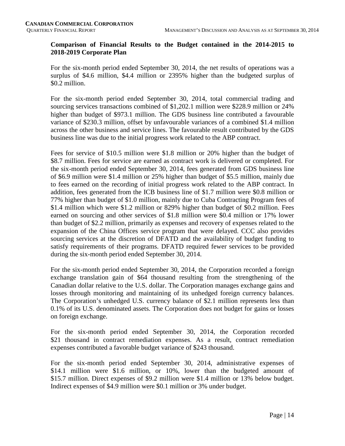#### **Comparison of Financial Results to the Budget contained in the 2014-2015 to 2018-2019 Corporate Plan**

For the six-month period ended September 30, 2014, the net results of operations was a surplus of \$4.6 million, \$4.4 million or 2395% higher than the budgeted surplus of \$0.2 million.

For the six-month period ended September 30, 2014, total commercial trading and sourcing services transactions combined of \$1,202.1 million were \$228.9 million or 24% higher than budget of \$973.1 million. The GDS business line contributed a favourable variance of \$230.3 million, offset by unfavourable variances of a combined \$1.4 million across the other business and service lines. The favourable result contributed by the GDS business line was due to the initial progress work related to the ABP contract.

Fees for service of \$10.5 million were \$1.8 million or 20% higher than the budget of \$8.7 million. Fees for service are earned as contract work is delivered or completed. For the six-month period ended September 30, 2014, fees generated from GDS business line of \$6.9 million were \$1.4 million or 25% higher than budget of \$5.5 million, mainly due to fees earned on the recording of initial progress work related to the ABP contract. In addition, fees generated from the ICB business line of \$1.7 million were \$0.8 million or 77% higher than budget of \$1.0 million, mainly due to Cuba Contracting Program fees of \$1.4 million which were \$1.2 million or 829% higher than budget of \$0.2 million. Fees earned on sourcing and other services of \$1.8 million were \$0.4 million or 17% lower than budget of \$2.2 million, primarily as expenses and recovery of expenses related to the expansion of the China Offices service program that were delayed. CCC also provides sourcing services at the discretion of DFATD and the availability of budget funding to satisfy requirements of their programs. DFATD required fewer services to be provided during the six-month period ended September 30, 2014.

For the six-month period ended September 30, 2014, the Corporation recorded a foreign exchange translation gain of \$64 thousand resulting from the strengthening of the Canadian dollar relative to the U.S. dollar. The Corporation manages exchange gains and losses through monitoring and maintaining of its unhedged foreign currency balances. The Corporation's unhedged U.S. currency balance of \$2.1 million represents less than 0.1% of its U.S. denominated assets. The Corporation does not budget for gains or losses on foreign exchange.

For the six-month period ended September 30, 2014, the Corporation recorded \$21 thousand in contract remediation expenses. As a result, contract remediation expenses contributed a favorable budget variance of \$243 thousand.

For the six-month period ended September 30, 2014, administrative expenses of \$14.1 million were \$1.6 million, or 10%, lower than the budgeted amount of \$15.7 million. Direct expenses of \$9.2 million were \$1.4 million or 13% below budget. Indirect expenses of \$4.9 million were \$0.1 million or 3% under budget.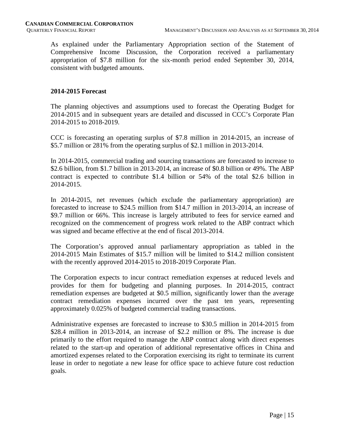As explained under the Parliamentary Appropriation section of the Statement of Comprehensive Income Discussion, the Corporation received a parliamentary appropriation of \$7.8 million for the six-month period ended September 30, 2014, consistent with budgeted amounts.

#### **2014-2015 Forecast**

The planning objectives and assumptions used to forecast the Operating Budget for 2014-2015 and in subsequent years are detailed and discussed in CCC's Corporate Plan 2014-2015 to 2018-2019.

CCC is forecasting an operating surplus of \$7.8 million in 2014-2015, an increase of \$5.7 million or 281% from the operating surplus of \$2.1 million in 2013-2014.

In 2014-2015, commercial trading and sourcing transactions are forecasted to increase to \$2.6 billion, from \$1.7 billion in 2013-2014, an increase of \$0.8 billion or 49%. The ABP contract is expected to contribute \$1.4 billion or 54% of the total \$2.6 billion in 2014-2015.

In 2014-2015, net revenues (which exclude the parliamentary appropriation) are forecasted to increase to \$24.5 million from \$14.7 million in 2013-2014, an increase of \$9.7 million or 66%. This increase is largely attributed to fees for service earned and recognized on the commencement of progress work related to the ABP contract which was signed and became effective at the end of fiscal 2013-2014.

The Corporation's approved annual parliamentary appropriation as tabled in the 2014-2015 Main Estimates of \$15.7 million will be limited to \$14.2 million consistent with the recently approved 2014-2015 to 2018-2019 Corporate Plan.

The Corporation expects to incur contract remediation expenses at reduced levels and provides for them for budgeting and planning purposes. In 2014-2015, contract remediation expenses are budgeted at \$0.5 million, significantly lower than the average contract remediation expenses incurred over the past ten years, representing approximately 0.025% of budgeted commercial trading transactions.

Administrative expenses are forecasted to increase to \$30.5 million in 2014-2015 from \$28.4 million in 2013-2014, an increase of \$2.2 million or 8%. The increase is due primarily to the effort required to manage the ABP contract along with direct expenses related to the start-up and operation of additional representative offices in China and amortized expenses related to the Corporation exercising its right to terminate its current lease in order to negotiate a new lease for office space to achieve future cost reduction goals.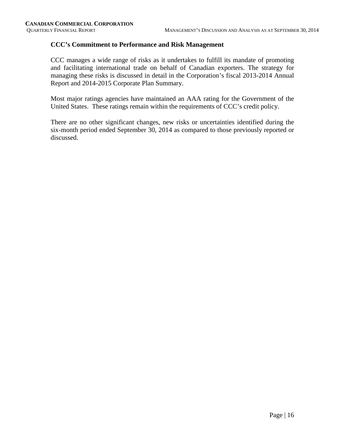#### **CCC's Commitment to Performance and Risk Management**

CCC manages a wide range of risks as it undertakes to fulfill its mandate of promoting and facilitating international trade on behalf of Canadian exporters. The strategy for managing these risks is discussed in detail in the Corporation's fiscal 2013-2014 Annual Report and 2014-2015 Corporate Plan Summary.

Most major ratings agencies have maintained an AAA rating for the Government of the United States. These ratings remain within the requirements of CCC's credit policy.

There are no other significant changes, new risks or uncertainties identified during the six-month period ended September 30, 2014 as compared to those previously reported or discussed.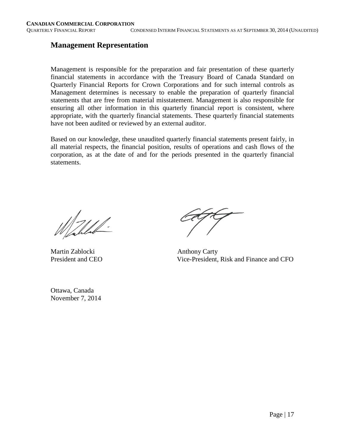#### **Management Representation**

Management is responsible for the preparation and fair presentation of these quarterly financial statements in accordance with the Treasury Board of Canada Standard on Quarterly Financial Reports for Crown Corporations and for such internal controls as Management determines is necessary to enable the preparation of quarterly financial statements that are free from material misstatement. Management is also responsible for ensuring all other information in this quarterly financial report is consistent, where appropriate, with the quarterly financial statements. These quarterly financial statements have not been audited or reviewed by an external auditor.

Based on our knowledge, these unaudited quarterly financial statements present fairly, in all material respects, the financial position, results of operations and cash flows of the corporation, as at the date of and for the periods presented in the quarterly financial statements.

 $\frac{1}{2}$ 

Martin Zablocki Anthony Carty

President and CEO Vice-President, Risk and Finance and CFO

Ottawa, Canada November 7, 2014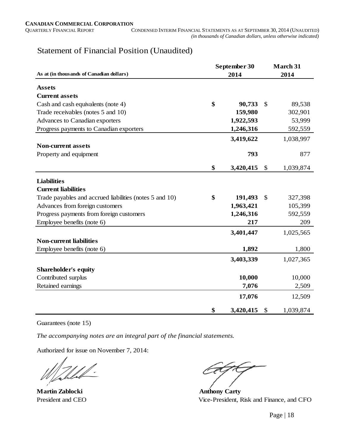### Statement of Financial Position (Unaudited)

|                                                         | September 30    | <b>March 31</b>           |           |  |
|---------------------------------------------------------|-----------------|---------------------------|-----------|--|
| As at (in thousands of Canadian dollars)                | 2014            |                           | 2014      |  |
| <b>Assets</b>                                           |                 |                           |           |  |
| <b>Current assets</b>                                   |                 |                           |           |  |
| Cash and cash equivalents (note 4)                      | \$<br>90,733    | $\mathbb{S}$              | 89,538    |  |
| Trade receivables (notes 5 and 10)                      | 159,980         |                           | 302,901   |  |
| Advances to Canadian exporters                          | 1,922,593       |                           | 53,999    |  |
| Progress payments to Canadian exporters                 | 1,246,316       |                           | 592,559   |  |
|                                                         | 3,419,622       |                           | 1,038,997 |  |
| <b>Non-current assets</b>                               |                 |                           |           |  |
| Property and equipment                                  | 793             |                           | 877       |  |
|                                                         | \$<br>3,420,415 | $\boldsymbol{\mathsf{S}}$ | 1,039,874 |  |
|                                                         |                 |                           |           |  |
| <b>Liabilities</b>                                      |                 |                           |           |  |
| <b>Current liabilities</b>                              |                 |                           |           |  |
| Trade payables and accrued liabilities (notes 5 and 10) | \$<br>191,493   | $\mathcal{S}$             | 327,398   |  |
| Advances from foreign customers                         | 1,963,421       |                           | 105,399   |  |
| Progress payments from foreign customers                | 1,246,316       |                           | 592,559   |  |
| Employee benefits (note 6)                              | 217             |                           | 209       |  |
|                                                         | 3,401,447       |                           | 1,025,565 |  |
| <b>Non-current liabilities</b>                          |                 |                           |           |  |
| Employee benefits (note 6)                              | 1,892           |                           | 1,800     |  |
|                                                         | 3,403,339       |                           | 1,027,365 |  |
| <b>Shareholder's equity</b>                             |                 |                           |           |  |
| Contributed surplus                                     | 10,000          |                           | 10,000    |  |
| Retained earnings                                       | 7,076           |                           | 2,509     |  |
|                                                         | 17,076          |                           | 12,509    |  |
|                                                         | \$<br>3,420,415 | \$                        | 1,039,874 |  |

#### Guarantees (note 15)

*The accompanying notes are an integral part of the financial statements.*

Authorized for issue on November 7, 2014:

**Martin Zablocki Anthony Carty** 

President and CEO Vice-President, Risk and Finance, and CFO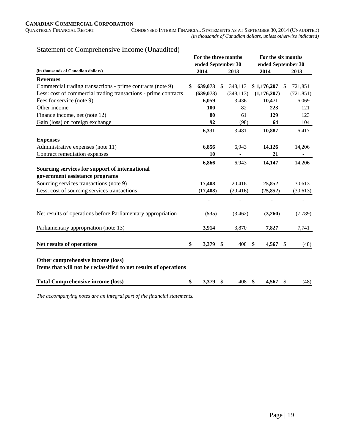|                                                                                                       | For the three months |              |            | For the six months |    |            |
|-------------------------------------------------------------------------------------------------------|----------------------|--------------|------------|--------------------|----|------------|
|                                                                                                       | ended September 30   |              |            | ended September 30 |    |            |
| (in thousands of Canadian dollars)                                                                    | 2014                 |              | 2013       | 2014               |    | 2013       |
| <b>Revenues</b>                                                                                       |                      |              |            |                    |    |            |
| Commercial trading transactions - prime contracts (note 9)                                            | \$<br>639,073        | $\mathbb{S}$ | 348,113    | \$1,176,207        | \$ | 721,851    |
| Less: cost of commercial trading transactions - prime contracts                                       | (639, 073)           |              | (348, 113) | (1,176,207)        |    | (721, 851) |
| Fees for service (note 9)                                                                             | 6,059                |              | 3,436      | 10,471             |    | 6,069      |
| Other income                                                                                          | 100                  |              | 82         | 223                |    | 121        |
| Finance income, net (note 12)                                                                         | 80                   |              | 61         | 129                |    | 123        |
| Gain (loss) on foreign exchange                                                                       | 92                   |              | (98)       | 64                 |    | 104        |
|                                                                                                       | 6,331                |              | 3,481      | 10,887             |    | 6,417      |
| <b>Expenses</b>                                                                                       |                      |              |            |                    |    |            |
| Administrative expenses (note 11)                                                                     | 6,856                |              | 6,943      | 14,126             |    | 14,206     |
| Contract remediation expenses                                                                         | 10                   |              |            | 21                 |    |            |
|                                                                                                       | 6,866                |              | 6,943      | 14,147             |    | 14,206     |
| Sourcing services for support of international                                                        |                      |              |            |                    |    |            |
| government assistance programs                                                                        |                      |              |            |                    |    |            |
| Sourcing services transactions (note 9)                                                               | 17,408               |              | 20,416     | 25,852             |    | 30,613     |
| Less: cost of sourcing services transactions                                                          | (17, 408)            |              | (20, 416)  | (25, 852)          |    | (30,613)   |
|                                                                                                       |                      |              |            |                    |    |            |
| Net results of operations before Parliamentary appropriation                                          | (535)                |              | (3,462)    | (3,260)            |    | (7, 789)   |
| Parliamentary appropriation (note 13)                                                                 | 3,914                |              | 3,870      | 7,827              |    | 7,741      |
| Net results of operations                                                                             | \$<br>3,379          | - \$         | 408        | \$<br>4,567        | \$ | (48)       |
| Other comprehensive income (loss)<br>Items that will not be reclassified to net results of operations |                      |              |            |                    |    |            |
| <b>Total Comprehensive income (loss)</b>                                                              | \$<br>3,379 \$       |              | 408        | \$<br>4,567        | \$ | (48)       |

#### Statement of Comprehensive Income (Unaudited)

*The accompanying notes are an integral part of the financial statements.*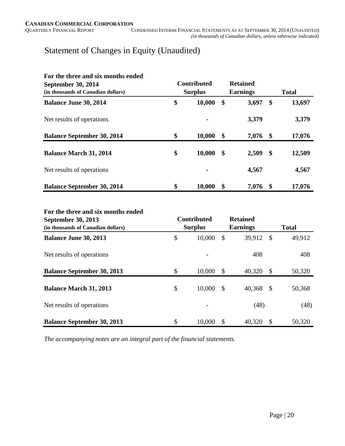## Statement of Changes in Equity (Unaudited)

| For the three and six months ended<br><b>September 30, 2014</b><br>(in thousands of Canadian dollars) | <b>Contributed</b><br><b>Surplus</b> | <b>Retained</b><br><b>Earnings</b> | <b>Total</b> |        |  |
|-------------------------------------------------------------------------------------------------------|--------------------------------------|------------------------------------|--------------|--------|--|
| <b>Balance June 30, 2014</b>                                                                          | \$<br>10,000                         | \$<br>3,697                        | S            | 13,697 |  |
| Net results of operations                                                                             |                                      | 3,379                              |              | 3,379  |  |
| <b>Balance September 30, 2014</b>                                                                     | \$<br>10,000                         | \$<br>7,076                        | -\$          | 17,076 |  |
| <b>Balance March 31, 2014</b>                                                                         | \$<br>10,000                         | \$<br>2,509                        | \$           | 12,509 |  |
| Net results of operations                                                                             | $\blacksquare$                       | 4,567                              |              | 4,567  |  |
| <b>Balance September 30, 2014</b>                                                                     | \$<br>10,000                         | \$<br>7,076                        | \$           | 17,076 |  |

#### **For the three and six months ended**

| <b>September 30, 2013</b><br>(in thousands of Canadian dollars) | <b>Contributed</b><br><b>Surplus</b> |               | <b>Retained</b><br><b>Earnings</b> |               | <b>Total</b> |
|-----------------------------------------------------------------|--------------------------------------|---------------|------------------------------------|---------------|--------------|
| <b>Balance June 30, 2013</b>                                    | \$<br>10,000                         | $\mathcal{S}$ | 39,912                             | \$            | 49,912       |
| Net results of operations                                       |                                      |               | 408                                |               | 408          |
| <b>Balance September 30, 2013</b>                               | \$<br>10,000                         | \$            | 40,320                             | \$            | 50,320       |
| <b>Balance March 31, 2013</b>                                   | \$<br>10,000                         | $\mathbb{S}$  | 40,368                             | $\mathcal{S}$ | 50,368       |
| Net results of operations                                       |                                      |               | (48)                               |               | (48)         |
| <b>Balance September 30, 2013</b>                               | \$<br>10,000                         | S             | 40,320                             | S             | 50,320       |

*The accompanying notes are an integral part of the financial statements.*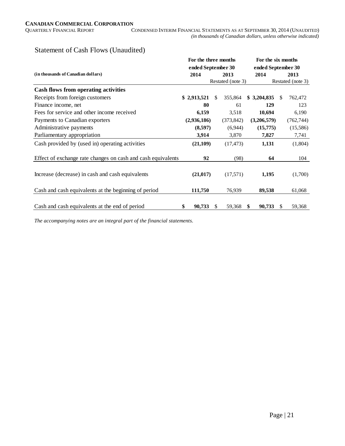#### Statement of Cash Flows (Unaudited)

|                                                              | For the three months |    |     | For the six months |                    |               |                   |  |
|--------------------------------------------------------------|----------------------|----|-----|--------------------|--------------------|---------------|-------------------|--|
|                                                              | ended September 30   |    |     |                    | ended September 30 |               |                   |  |
| (in thousands of Canadian dollars)                           | 2014                 |    |     | 2013               | 2014               |               | 2013              |  |
|                                                              |                      |    |     | Restated (note 3)  |                    |               | Restated (note 3) |  |
| <b>Cash flows from operating activities</b>                  |                      |    |     |                    |                    |               |                   |  |
| Receipts from foreign customers                              | \$2,913,521          |    | \$. | 355,864            | \$3,204,835        | <sup>\$</sup> | 762,472           |  |
| Finance income, net                                          |                      | 80 |     | 61                 | 129                |               | 123               |  |
| Fees for service and other income received                   | 6,159                |    |     | 3,518              | 10,694             |               | 6,190             |  |
| Payments to Canadian exporters                               | (2,936,186)          |    |     | (373, 842)         | (3,206,579)        |               | (762, 744)        |  |
| Administrative payments                                      | (8,597)              |    |     | (6,944)            | (15,775)           |               | (15,586)          |  |
| Parliamentary appropriation                                  | 3,914                |    |     | 3,870              | 7,827              |               | 7,741             |  |
| Cash provided by (used in) operating activities              | (21, 109)            |    |     | (17, 473)          | 1,131              |               | (1,804)           |  |
| Effect of exchange rate changes on cash and cash equivalents |                      | 92 |     | (98)               | 64                 |               | 104               |  |
| Increase (decrease) in cash and cash equivalents             | (21, 017)            |    |     | (17,571)           | 1,195              |               | (1,700)           |  |
| Cash and cash equivalents at the beginning of period         | 111,750              |    |     | 76,939             | 89,538             |               | 61,068            |  |
| Cash and cash equivalents at the end of period               | 90,733<br>\$         |    | \$. | 59,368             | \$<br>90,733       |               | 59,368            |  |

*The accompanying notes are an integral part of the financial statements.*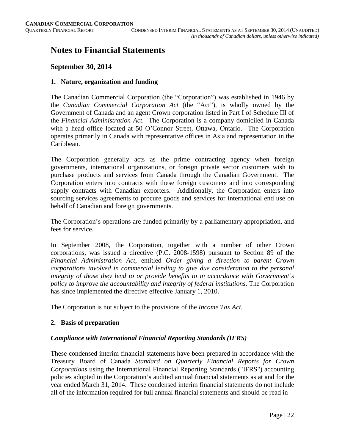## **Notes to Financial Statements**

#### **September 30, 2014**

#### **1. Nature, organization and funding**

The Canadian Commercial Corporation (the "Corporation") was established in 1946 by the *Canadian Commercial Corporation Act* (the "Act"), is wholly owned by the Government of Canada and an agent Crown corporation listed in Part I of Schedule III of the *Financial Administration Act*. The Corporation is a company domiciled in Canada with a head office located at 50 O'Connor Street, Ottawa, Ontario. The Corporation operates primarily in Canada with representative offices in Asia and representation in the Caribbean.

The Corporation generally acts as the prime contracting agency when foreign governments, international organizations, or foreign private sector customers wish to purchase products and services from Canada through the Canadian Government. The Corporation enters into contracts with these foreign customers and into corresponding supply contracts with Canadian exporters. Additionally, the Corporation enters into sourcing services agreements to procure goods and services for international end use on behalf of Canadian and foreign governments.

The Corporation's operations are funded primarily by a parliamentary appropriation, and fees for service.

In September 2008, the Corporation, together with a number of other Crown corporations, was issued a directive (P.C. 2008-1598) pursuant to Section 89 of the *Financial Administration Act*, entitled *Order giving a direction to parent Crown corporations involved in commercial lending to give due consideration to the personal integrity of those they lend to or provide benefits to in accordance with Government's policy to improve the accountability and integrity of federal institutions*. The Corporation has since implemented the directive effective January 1, 2010.

The Corporation is not subject to the provisions of the *Income Tax Act*.

#### **2. Basis of preparation**

#### *Compliance with International Financial Reporting Standards (IFRS)*

These condensed interim financial statements have been prepared in accordance with the Treasury Board of Canada *Standard on Quarterly Financial Reports for Crown Corporations* using the International Financial Reporting Standards ("IFRS") accounting policies adopted in the Corporation's audited annual financial statements as at and for the year ended March 31, 2014. These condensed interim financial statements do not include all of the information required for full annual financial statements and should be read in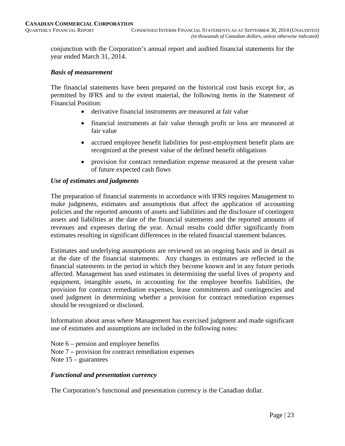conjunction with the Corporation's annual report and audited financial statements for the year ended March 31, 2014.

#### *Basis of measurement*

The financial statements have been prepared on the historical cost basis except for, as permitted by IFRS and to the extent material, the following items in the Statement of Financial Position:

- derivative financial instruments are measured at fair value
- financial instruments at fair value through profit or loss are measured at fair value
- accrued employee benefit liabilities for post-employment benefit plans are recognized at the present value of the defined benefit obligations
- provision for contract remediation expense measured at the present value of future expected cash flows

#### *Use of estimates and judgments*

The preparation of financial statements in accordance with IFRS requires Management to make judgments, estimates and assumptions that affect the application of accounting policies and the reported amounts of assets and liabilities and the disclosure of contingent assets and liabilities at the date of the financial statements and the reported amounts of revenues and expenses during the year. Actual results could differ significantly from estimates resulting in significant differences in the related financial statement balances.

Estimates and underlying assumptions are reviewed on an ongoing basis and in detail as at the date of the financial statements. Any changes in estimates are reflected in the financial statements in the period in which they become known and in any future periods affected. Management has used estimates in determining the useful lives of property and equipment, intangible assets, in accounting for the employee benefits liabilities, the provision for contract remediation expenses, lease commitments and contingencies and used judgment in determining whether a provision for contract remediation expenses should be recognized or disclosed.

Information about areas where Management has exercised judgment and made significant use of estimates and assumptions are included in the following notes:

Note 6 – pension and employee benefits Note 7 – provision for contract remediation expenses Note 15 – guarantees

#### *Functional and presentation currency*

The Corporation's functional and presentation currency is the Canadian dollar.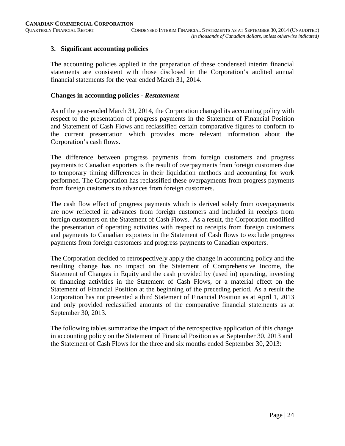#### **3. Significant accounting policies**

The accounting policies applied in the preparation of these condensed interim financial statements are consistent with those disclosed in the Corporation's audited annual financial statements for the year ended March 31, 2014.

#### **Changes in accounting policies -** *Restatement*

As of the year-ended March 31, 2014, the Corporation changed its accounting policy with respect to the presentation of progress payments in the Statement of Financial Position and Statement of Cash Flows and reclassified certain comparative figures to conform to the current presentation which provides more relevant information about the Corporation's cash flows.

The difference between progress payments from foreign customers and progress payments to Canadian exporters is the result of overpayments from foreign customers due to temporary timing differences in their liquidation methods and accounting for work performed. The Corporation has reclassified these overpayments from progress payments from foreign customers to advances from foreign customers.

The cash flow effect of progress payments which is derived solely from overpayments are now reflected in advances from foreign customers and included in receipts from foreign customers on the Statement of Cash Flows. As a result, the Corporation modified the presentation of operating activities with respect to receipts from foreign customers and payments to Canadian exporters in the Statement of Cash flows to exclude progress payments from foreign customers and progress payments to Canadian exporters.

The Corporation decided to retrospectively apply the change in accounting policy and the resulting change has no impact on the Statement of Comprehensive Income, the Statement of Changes in Equity and the cash provided by (used in) operating, investing or financing activities in the Statement of Cash Flows, or a material effect on the Statement of Financial Position at the beginning of the preceding period. As a result the Corporation has not presented a third Statement of Financial Position as at April 1, 2013 and only provided reclassified amounts of the comparative financial statements as at September 30, 2013.

The following tables summarize the impact of the retrospective application of this change in accounting policy on the Statement of Financial Position as at September 30, 2013 and the Statement of Cash Flows for the three and six months ended September 30, 2013: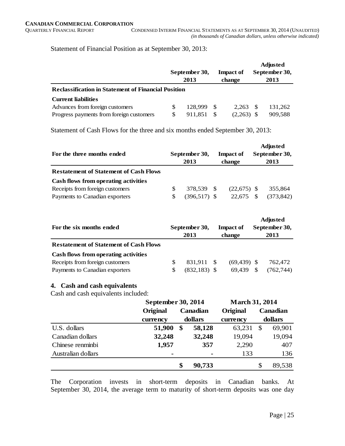Statement of Financial Position as at September 30, 2013:

|                                                            | September 30,<br>2013 |      | <b>Impact of</b><br>change | <b>Adjusted</b><br>September 30,<br>2013 |         |  |  |
|------------------------------------------------------------|-----------------------|------|----------------------------|------------------------------------------|---------|--|--|
| <b>Reclassification in Statement of Financial Position</b> |                       |      |                            |                                          |         |  |  |
| <b>Current liabilities</b>                                 |                       |      |                            |                                          |         |  |  |
| Advances from foreign customers                            | 128.999               | - \$ | 2.263                      | -S                                       | 131.262 |  |  |
| Progress payments from foreign customers                   | 911.851               |      | (2,263)                    |                                          | 909,588 |  |  |

Statement of Cash Flows for the three and six months ended September 30, 2013:

| For the three months ended                    |   | September 30,<br>2013 | <b>Impact of</b><br>change | <b>Adjusted</b><br>September 30,<br>2013 |            |  |
|-----------------------------------------------|---|-----------------------|----------------------------|------------------------------------------|------------|--|
| <b>Restatement of Statement of Cash Flows</b> |   |                       |                            |                                          |            |  |
| Cash flows from operating activities          |   |                       |                            |                                          |            |  |
| Receipts from foreign customers               | S | 378.539 \$            | $(22,675)$ \$              |                                          | 355.864    |  |
| Payments to Canadian exporters                | S | $(396,517)$ \$        | 22.675                     |                                          | (373, 842) |  |

| For the six months ended                      | September 30,<br>2013 | <b>Impact of</b><br>change | <b>Adjusted</b><br>September 30,<br>2013 |            |  |
|-----------------------------------------------|-----------------------|----------------------------|------------------------------------------|------------|--|
| <b>Restatement of Statement of Cash Flows</b> |                       |                            |                                          |            |  |
| Cash flows from operating activities          |                       |                            |                                          |            |  |
| Receipts from foreign customers               | 831.911 \$            | $(69, 439)$ \$             |                                          | 762.472    |  |
| Payments to Canadian exporters                | $(832, 183)$ \$       | 69.439                     | \$.                                      | (762, 744) |  |

#### **4. Cash and cash equivalents**

Cash and cash equivalents included:

|                    |                | September 30, 2014 |                |          |               | <b>March 31, 2014</b> |
|--------------------|----------------|--------------------|----------------|----------|---------------|-----------------------|
|                    | Original       | Canadian           |                | Original |               | Canadian              |
|                    | currency       |                    | dollars        | currency |               | dollars               |
| U.S. dollars       | 51,900         | \$                 | 58,128         | 63,231   | <sup>\$</sup> | 69,901                |
| Canadian dollars   | 32,248         |                    | 32,248         | 19,094   |               | 19,094                |
| Chinese renminbi   | 1,957          |                    | 357            | 2,290    |               | 407                   |
| Australian dollars | $\blacksquare$ |                    | $\blacksquare$ | 133      |               | 136                   |
|                    |                | \$                 | 90,733         |          | \$            | 89,538                |

The Corporation invests in short-term deposits in Canadian banks. At September 30, 2014, the average term to maturity of short-term deposits was one day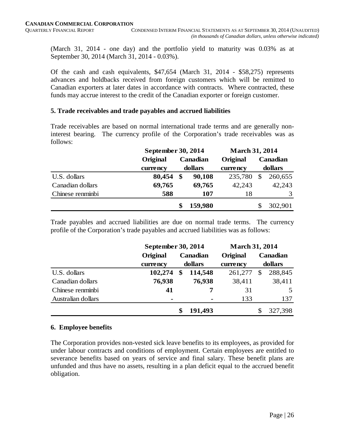(March 31, 2014 - one day) and the portfolio yield to maturity was 0.03% as at September 30, 2014 (March 31, 2014 - 0.03%).

Of the cash and cash equivalents, \$47,654 (March 31, 2014 - \$58,275) represents advances and holdbacks received from foreign customers which will be remitted to Canadian exporters at later dates in accordance with contracts. Where contracted, these funds may accrue interest to the credit of the Canadian exporter or foreign customer.

#### **5. Trade receivables and trade payables and accrued liabilities**

Trade receivables are based on normal international trade terms and are generally noninterest bearing. The currency profile of the Corporation's trade receivables was as follows:

|                  | September 30, 2014 |         |          | <b>March 31, 2014</b> |          |         |  |  |
|------------------|--------------------|---------|----------|-----------------------|----------|---------|--|--|
|                  | Original           |         | Canadian | Original              | Canadian |         |  |  |
|                  | currency           | dollars |          | currency              |          | dollars |  |  |
| U.S. dollars     | 80,454             | \$      | 90,108   | 235,780               | \$       | 260,655 |  |  |
| Canadian dollars | 69,765             |         | 69,765   | 42,243                |          | 42,243  |  |  |
| Chinese renminbi | 588                |         | 107      | 18                    |          | 3       |  |  |
|                  |                    |         | 159,980  |                       |          | 302,901 |  |  |

Trade payables and accrued liabilities are due on normal trade terms. The currency profile of the Corporation's trade payables and accrued liabilities was as follows:

|                    |                | September 30, 2014 |          |          | <b>March 31, 2014</b> |          |  |  |
|--------------------|----------------|--------------------|----------|----------|-----------------------|----------|--|--|
|                    | Original       |                    | Canadian | Original |                       | Canadian |  |  |
|                    | currency       | dollars            |          | currency | dollars               |          |  |  |
| U.S. dollars       | 102,274        | \$                 | 114,548  | 261,277  | \$                    | 288,845  |  |  |
| Canadian dollars   | 76,938         |                    | 76,938   | 38,411   |                       | 38,411   |  |  |
| Chinese renminbi   | 41             |                    | 7        | 31       |                       | 5        |  |  |
| Australian dollars | $\blacksquare$ |                    |          | 133      |                       | 137      |  |  |
|                    |                |                    | 191,493  |          |                       | 327,398  |  |  |

#### **6. Employee benefits**

The Corporation provides non-vested sick leave benefits to its employees, as provided for under labour contracts and conditions of employment. Certain employees are entitled to severance benefits based on years of service and final salary. These benefit plans are unfunded and thus have no assets, resulting in a plan deficit equal to the accrued benefit obligation.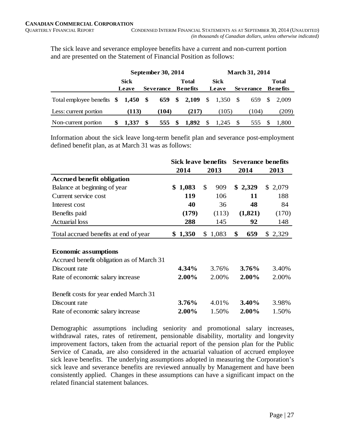The sick leave and severance employee benefits have a current and non-current portion and are presented on the Statement of Financial Position as follows:

|                                    |                      |   | September 30, 2014 |                                 | <b>March 31, 2014</b> |               |    |                  |  |                                 |  |
|------------------------------------|----------------------|---|--------------------|---------------------------------|-----------------------|---------------|----|------------------|--|---------------------------------|--|
|                                    | <b>Sick</b><br>Leave |   | <b>Severance</b>   | <b>Total</b><br><b>Benefits</b> |                       | Sick<br>Leave |    | <b>Severance</b> |  | <b>Total</b><br><b>Benefits</b> |  |
| Total employee benefits \$1,450 \$ |                      |   |                    | 659 \$ 2,109                    | $\mathcal{S}$         | 1,350 \$      |    | 659 \$           |  | 2.009                           |  |
| Less: current portion              | (113)                |   | (104)              | (217)                           |                       | (105)         |    | (104)            |  | (209)                           |  |
| Non-current portion                | 1.337                | S | 555                | \$<br>1,892                     | \$                    | 1,245         | -S | 555              |  | 1.800                           |  |

Information about the sick leave long-term benefit plan and severance post-employment defined benefit plan, as at March 31 was as follows:

|                                           | <b>Sick leave benefits</b> |                      | <b>Severance benefits</b> |         |
|-------------------------------------------|----------------------------|----------------------|---------------------------|---------|
|                                           | 2014                       | 2013                 | 2014                      | 2013    |
| <b>Accrued benefit obligation</b>         |                            |                      |                           |         |
| Balance at beginning of year              | \$1,083                    | $\mathcal{S}$<br>909 | \$2,329                   | \$2,079 |
| Current service cost                      | <b>119</b>                 | 106                  | 11                        | 188     |
| Interest cost                             | 40                         | 36                   | 48                        | 84      |
| Benefits paid                             | (179)                      | (113)                | (1,821)                   | (170)   |
| <b>Actuarial</b> loss                     | 288                        | 145                  | 92                        | 148     |
| Total accrued benefits at end of year     | \$1,350                    | 1,083<br>\$          | \$<br>659                 | \$2,329 |
| <b>Economic assumptions</b>               |                            |                      |                           |         |
| Accrued benefit obligation as of March 31 |                            |                      |                           |         |
| Discount rate                             | 4.34%                      | 3.76%                | 3.76%                     | 3.40%   |
| Rate of economic salary increase          | 2.00%                      | 2.00%                | $2.00\%$                  | 2.00%   |
| Benefit costs for year ended March 31     |                            |                      |                           |         |
| Discount rate                             | 3.76%                      | 4.01%                | 3.40%                     | 3.98%   |
| Rate of economic salary increase          | 2.00%                      | 1.50%                | 2.00%                     | 1.50%   |

Demographic assumptions including seniority and promotional salary increases, withdrawal rates, rates of retirement, pensionable disability, mortality and longevity improvement factors, taken from the actuarial report of the pension plan for the Public Service of Canada, are also considered in the actuarial valuation of accrued employee sick leave benefits. The underlying assumptions adopted in measuring the Corporation's sick leave and severance benefits are reviewed annually by Management and have been consistently applied. Changes in these assumptions can have a significant impact on the related financial statement balances.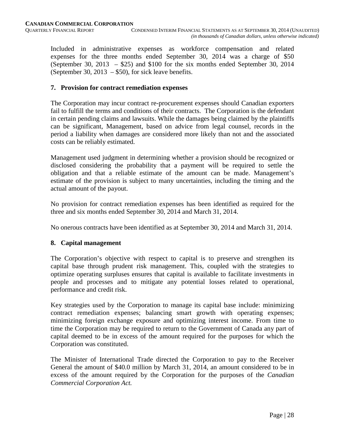Included in administrative expenses as workforce compensation and related expenses for the three months ended September 30, 2014 was a charge of \$50 (September 30, 2013 – \$25) and \$100 for the six months ended September 30, 2014 (September 30, 2013 – \$50), for sick leave benefits.

#### **7. Provision for contract remediation expenses**

The Corporation may incur contract re-procurement expenses should Canadian exporters fail to fulfill the terms and conditions of their contracts. The Corporation is the defendant in certain pending claims and lawsuits. While the damages being claimed by the plaintiffs can be significant, Management, based on advice from legal counsel, records in the period a liability when damages are considered more likely than not and the associated costs can be reliably estimated.

Management used judgment in determining whether a provision should be recognized or disclosed considering the probability that a payment will be required to settle the obligation and that a reliable estimate of the amount can be made. Management's estimate of the provision is subject to many uncertainties, including the timing and the actual amount of the payout.

No provision for contract remediation expenses has been identified as required for the three and six months ended September 30, 2014 and March 31, 2014.

No onerous contracts have been identified as at September 30, 2014 and March 31, 2014.

#### **8. Capital management**

The Corporation's objective with respect to capital is to preserve and strengthen its capital base through prudent risk management. This, coupled with the strategies to optimize operating surpluses ensures that capital is available to facilitate investments in people and processes and to mitigate any potential losses related to operational, performance and credit risk.

Key strategies used by the Corporation to manage its capital base include: minimizing contract remediation expenses; balancing smart growth with operating expenses; minimizing foreign exchange exposure and optimizing interest income. From time to time the Corporation may be required to return to the Government of Canada any part of capital deemed to be in excess of the amount required for the purposes for which the Corporation was constituted.

The Minister of International Trade directed the Corporation to pay to the Receiver General the amount of \$40.0 million by March 31, 2014, an amount considered to be in excess of the amount required by the Corporation for the purposes of the *Canadian Commercial Corporation Act.*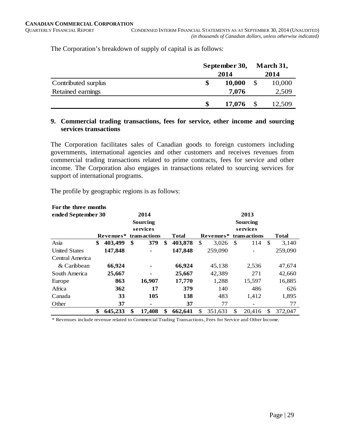The Corporation's breakdown of supply of capital is as follows:

|                     | September 30, |        |    | March 31, |
|---------------------|---------------|--------|----|-----------|
|                     |               | 2014   |    |           |
| Contributed surplus | \$            | 10,000 | \$ | 10,000    |
| Retained earnings   |               | 7,076  |    | 2,509     |
|                     | \$            | 17,076 |    | 12,509    |

#### **9. Commercial trading transactions, fees for service, other income and sourcing services transactions**

The Corporation facilitates sales of Canadian goods to foreign customers including governments, international agencies and other customers and receives revenues from commercial trading transactions related to prime contracts, fees for service and other income. The Corporation also engages in transactions related to sourcing services for support of international programs.

The profile by geographic regions is as follows:

| For the three months |               |                 |               |          |           |    |                 |      |         |
|----------------------|---------------|-----------------|---------------|----------|-----------|----|-----------------|------|---------|
| ended September 30   |               | 2014            |               | 2013     |           |    |                 |      |         |
|                      |               | <b>Sourcing</b> |               |          |           |    | <b>Sourcing</b> |      |         |
|                      |               | services        |               | services |           |    |                 |      |         |
|                      | Revenues*     | transactions    | Total         |          | Revenues* |    | transactions    |      | Total   |
| Asia                 | \$<br>403,499 | \$<br>379       | \$<br>403,878 | \$       | 3,026     | \$ | 114             | - \$ | 3,140   |
| <b>United States</b> | 147,848       |                 | 147,848       |          | 259,090   |    |                 |      | 259,090 |
| Central America      |               |                 |               |          |           |    |                 |      |         |
| & Caribbean          | 66,924        |                 | 66,924        |          | 45,138    |    | 2,536           |      | 47,674  |
| South America        | 25,667        |                 | 25,667        |          | 42,389    |    | 271             |      | 42,660  |
| Europe               | 863           | 16,907          | 17,770        |          | 1,288     |    | 15,597          |      | 16,885  |
| Africa               | 362           | 17              | 379           |          | 140       |    | 486             |      | 626     |
| Canada               | 33            | 105             | 138           |          | 483       |    | 1,412           |      | 1,895   |
| Other                | 37            | ۰               | 37            |          | 77        |    |                 |      | 77      |
|                      | \$<br>645,233 | \$<br>17,408    | \$<br>662.641 | \$.      | 351.631   | \$ | 20.416          | \$   | 372,047 |

\* Revenues include revenue related to Commercial Trading Transactions, Fees for Service and Other Income.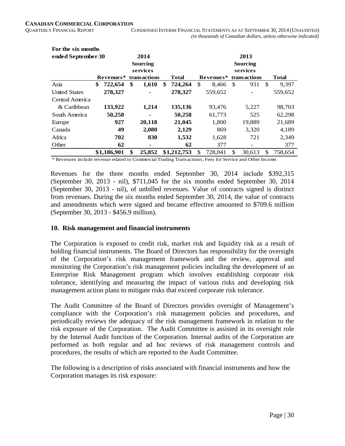| For the six months   |               |                     |               |                                  |         |     |                          |     |              |
|----------------------|---------------|---------------------|---------------|----------------------------------|---------|-----|--------------------------|-----|--------------|
| ended September 30   |               | 2014                |               |                                  |         |     | 2013                     |     |              |
|                      |               | Sourcing            |               |                                  |         |     | Sourcing                 |     |              |
|                      |               | services            |               |                                  |         |     | services                 |     |              |
|                      | Revenues*     | <b>transactions</b> | <b>Total</b>  | Revenues*<br><b>transactions</b> |         |     |                          |     | <b>Total</b> |
| Asia                 | \$<br>722,654 | \$<br>1,610         | \$<br>724,264 | \$                               | 8,466   | \$. | 931                      | \$. | 9,397        |
| <b>United States</b> | 278,327       |                     | 278,327       |                                  | 559,652 |     |                          |     | 559,652      |
| Central America      |               |                     |               |                                  |         |     |                          |     |              |
| $&$ Caribbean        | 133,922       | 1,214               | 135,136       |                                  | 93,476  |     | 5,227                    |     | 98,703       |
| South America        | 50,258        |                     | 50,258        |                                  | 61,773  |     | 525                      |     | 62,298       |
| Europe               | 927           | 20,118              | 21,045        |                                  | 1,800   |     | 19,889                   |     | 21,689       |
| Canada               | 49            | 2,080               | 2,129         |                                  | 869     |     | 3.320                    |     | 4.189        |
| Africa               | 702           | 830                 | 1,532         |                                  | 1,628   |     | 721                      |     | 2,349        |
| Other                | 62            | ۰                   | 62            |                                  | 377     |     | $\overline{\phantom{a}}$ |     | 377          |
|                      | \$1,186,901   | \$<br>25,852        | \$1,212,753   | \$                               | 728,041 | \$  | 30.613                   | \$  | 758,654      |

\* Revenues include revenue related to Commercial Trading Transactions, Fees for Service and Other Income.

Revenues for the three months ended September 30, 2014 include \$392,315 (September 30, 2013 - nil), \$711,045 for the six months ended September 30, 2014 (September 30, 2013 - nil), of unbilled revenues. Value of contracts signed is distinct from revenues. During the six months ended September 30, 2014, the value of contracts and amendments which were signed and became effective amounted to \$709.6 million (September 30, 2013 - \$456.9 million).

#### **10. Risk management and financial instruments**

The Corporation is exposed to credit risk, market risk and liquidity risk as a result of holding financial instruments. The Board of Directors has responsibility for the oversight of the Corporation's risk management framework and the review, approval and monitoring the Corporation's risk management policies including the development of an Enterprise Risk Management program which involves establishing corporate risk tolerance, identifying and measuring the impact of various risks and developing risk management action plans to mitigate risks that exceed corporate risk tolerance.

The Audit Committee of the Board of Directors provides oversight of Management's compliance with the Corporation's risk management policies and procedures, and periodically reviews the adequacy of the risk management framework in relation to the risk exposure of the Corporation. The Audit Committee is assisted in its oversight role by the Internal Audit function of the Corporation. Internal audits of the Corporation are performed as both regular and ad hoc reviews of risk management controls and procedures, the results of which are reported to the Audit Committee.

The following is a description of risks associated with financial instruments and how the Corporation manages its risk exposure: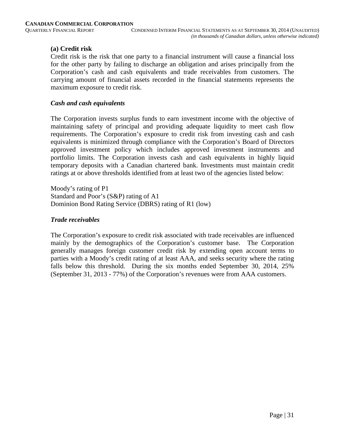#### **(a) Credit risk**

Credit risk is the risk that one party to a financial instrument will cause a financial loss for the other party by failing to discharge an obligation and arises principally from the Corporation's cash and cash equivalents and trade receivables from customers. The carrying amount of financial assets recorded in the financial statements represents the maximum exposure to credit risk.

#### *Cash and cash equivalents*

The Corporation invests surplus funds to earn investment income with the objective of maintaining safety of principal and providing adequate liquidity to meet cash flow requirements. The Corporation's exposure to credit risk from investing cash and cash equivalents is minimized through compliance with the Corporation's Board of Directors approved investment policy which includes approved investment instruments and portfolio limits. The Corporation invests cash and cash equivalents in highly liquid temporary deposits with a Canadian chartered bank. Investments must maintain credit ratings at or above thresholds identified from at least two of the agencies listed below:

Moody's rating of P1 Standard and Poor's (S&P) rating of A1 Dominion Bond Rating Service (DBRS) rating of R1 (low)

#### *Trade receivables*

The Corporation's exposure to credit risk associated with trade receivables are influenced mainly by the demographics of the Corporation's customer base. The Corporation generally manages foreign customer credit risk by extending open account terms to parties with a Moody's credit rating of at least AAA, and seeks security where the rating falls below this threshold. During the six months ended September 30, 2014, 25% (September 31, 2013 - 77%) of the Corporation's revenues were from AAA customers.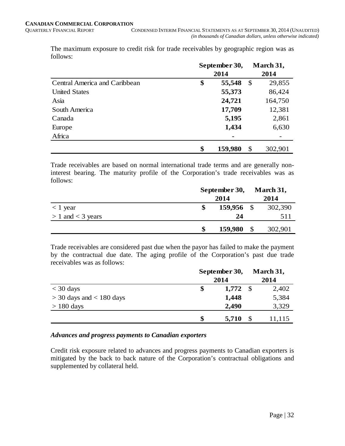|                               | September 30, |         |    | March 31, |  |  |
|-------------------------------|---------------|---------|----|-----------|--|--|
|                               | 2014          |         |    | 2014      |  |  |
| Central America and Caribbean | \$            | 55,548  | \$ | 29,855    |  |  |
| <b>United States</b>          |               | 55,373  |    | 86,424    |  |  |
| Asia                          |               | 24,721  |    | 164,750   |  |  |
| South America                 |               | 17,709  |    | 12,381    |  |  |
| Canada                        |               | 5,195   |    | 2,861     |  |  |
| Europe                        |               | 1,434   |    | 6,630     |  |  |
| Africa                        |               |         |    |           |  |  |
|                               | \$            | 159,980 | \$ | 302,901   |  |  |

The maximum exposure to credit risk for trade receivables by geographic region was as follows:

Trade receivables are based on normal international trade terms and are generally noninterest bearing. The maturity profile of the Corporation's trade receivables was as follows:

|                       | September 30, |            |               | March 31, |
|-----------------------|---------------|------------|---------------|-----------|
|                       |               | 2014       |               | 2014      |
| $<$ 1 year            |               | 159,956 \$ |               | 302,390   |
| $> 1$ and $<$ 3 years |               | 24         |               | 511       |
|                       |               | 159,980    | $\mathcal{S}$ | 302,901   |

Trade receivables are considered past due when the payor has failed to make the payment by the contractual due date. The aging profile of the Corporation's past due trade receivables was as follows:

|                              | September 30, |       | March 31, |        |  |
|------------------------------|---------------|-------|-----------|--------|--|
|                              |               | 2014  |           |        |  |
| $<$ 30 days                  | \$            | 1,772 | - \$      | 2,402  |  |
| $>$ 30 days and $<$ 180 days |               | 1,448 |           | 5,384  |  |
| $> 180$ days                 |               | 2,490 |           | 3,329  |  |
|                              | S             | 5,710 | S         | 11,115 |  |

#### *Advances and progress payments to Canadian exporters*

Credit risk exposure related to advances and progress payments to Canadian exporters is mitigated by the back to back nature of the Corporation's contractual obligations and supplemented by collateral held.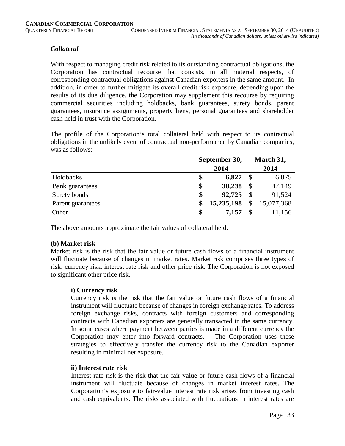#### *Collateral*

With respect to managing credit risk related to its outstanding contractual obligations, the Corporation has contractual recourse that consists, in all material respects, of corresponding contractual obligations against Canadian exporters in the same amount. In addition, in order to further mitigate its overall credit risk exposure, depending upon the results of its due diligence, the Corporation may supplement this recourse by requiring commercial securities including holdbacks, bank guarantees, surety bonds, parent guarantees, insurance assignments, property liens, personal guarantees and shareholder cash held in trust with the Corporation.

The profile of the Corporation's total collateral held with respect to its contractual obligations in the unlikely event of contractual non-performance by Canadian companies, was as follows:

|                   | September 30,<br>2014 |            |               | March 31,    |  |  |
|-------------------|-----------------------|------------|---------------|--------------|--|--|
|                   |                       | 2014       |               |              |  |  |
| Holdbacks         | \$                    | 6,827      |               | 6,875        |  |  |
| Bank guarantees   | \$                    | 38,238     | <sup>\$</sup> | 47,149       |  |  |
| Surety bonds      | \$                    | 92,725     | - \$          | 91,524       |  |  |
| Parent guarantees | S                     | 15,235,198 |               | \$15,077,368 |  |  |
| Other             | \$                    | 7,157      |               | 11,156       |  |  |

The above amounts approximate the fair values of collateral held.

#### **(b) Market risk**

Market risk is the risk that the fair value or future cash flows of a financial instrument will fluctuate because of changes in market rates. Market risk comprises three types of risk: currency risk, interest rate risk and other price risk. The Corporation is not exposed to significant other price risk.

#### **i) Currency risk**

Currency risk is the risk that the fair value or future cash flows of a financial instrument will fluctuate because of changes in foreign exchange rates. To address foreign exchange risks, contracts with foreign customers and corresponding contracts with Canadian exporters are generally transacted in the same currency. In some cases where payment between parties is made in a different currency the Corporation may enter into forward contracts. The Corporation uses these strategies to effectively transfer the currency risk to the Canadian exporter resulting in minimal net exposure.

#### **ii) Interest rate risk**

Interest rate risk is the risk that the fair value or future cash flows of a financial instrument will fluctuate because of changes in market interest rates. The Corporation's exposure to fair-value interest rate risk arises from investing cash and cash equivalents. The risks associated with fluctuations in interest rates are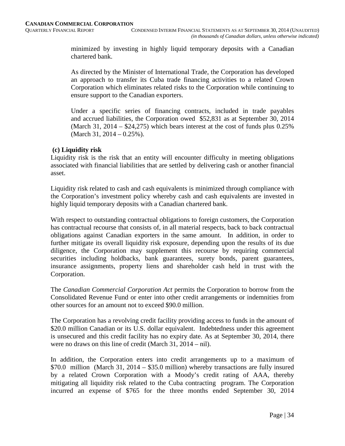minimized by investing in highly liquid temporary deposits with a Canadian chartered bank.

As directed by the Minister of International Trade, the Corporation has developed an approach to transfer its Cuba trade financing activities to a related Crown Corporation which eliminates related risks to the Corporation while continuing to ensure support to the Canadian exporters.

Under a specific series of financing contracts, included in trade payables and accrued liabilities, the Corporation owed \$52,831 as at September 30, 2014 (March 31, 2014 –  $$24,275$ ) which bears interest at the cost of funds plus 0.25% (March 31, 2014 – 0.25%).

#### **(c) Liquidity risk**

Liquidity risk is the risk that an entity will encounter difficulty in meeting obligations associated with financial liabilities that are settled by delivering cash or another financial asset.

Liquidity risk related to cash and cash equivalents is minimized through compliance with the Corporation's investment policy whereby cash and cash equivalents are invested in highly liquid temporary deposits with a Canadian chartered bank.

With respect to outstanding contractual obligations to foreign customers, the Corporation has contractual recourse that consists of, in all material respects, back to back contractual obligations against Canadian exporters in the same amount. In addition, in order to further mitigate its overall liquidity risk exposure, depending upon the results of its due diligence, the Corporation may supplement this recourse by requiring commercial securities including holdbacks, bank guarantees, surety bonds, parent guarantees, insurance assignments, property liens and shareholder cash held in trust with the Corporation.

The *Canadian Commercial Corporation Act* permits the Corporation to borrow from the Consolidated Revenue Fund or enter into other credit arrangements or indemnities from other sources for an amount not to exceed \$90.0 million.

The Corporation has a revolving credit facility providing access to funds in the amount of \$20.0 million Canadian or its U.S. dollar equivalent. Indebtedness under this agreement is unsecured and this credit facility has no expiry date. As at September 30, 2014, there were no draws on this line of credit (March 31, 2014 – nil).

In addition, the Corporation enters into credit arrangements up to a maximum of \$70.0 million (March 31, 2014 – \$35.0 million) whereby transactions are fully insured by a related Crown Corporation with a Moody's credit rating of AAA, thereby mitigating all liquidity risk related to the Cuba contracting program. The Corporation incurred an expense of \$765 for the three months ended September 30, 2014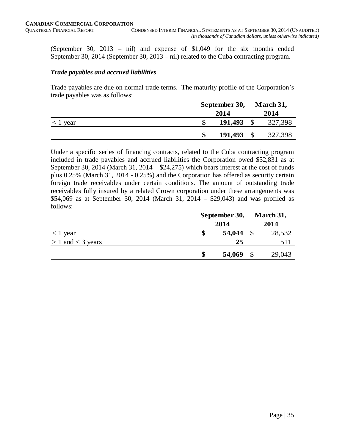(September 30, 2013 – nil) and expense of \$1,049 for the six months ended September 30, 2014 (September 30, 2013 – nil) related to the Cuba contracting program.

#### *Trade payables and accrued liabilities*

Trade payables are due on normal trade terms. The maturity profile of the Corporation's trade payables was as follows:

|                          | September 30, |           |         |
|--------------------------|---------------|-----------|---------|
|                          | 2014          |           | 2014    |
| $\langle 1 \rangle$ year | 191,493       |           | 327,398 |
|                          | 191,493       | <b>\$</b> | 327,398 |

Under a specific series of financing contracts, related to the Cuba contracting program included in trade payables and accrued liabilities the Corporation owed \$52,831 as at September 30, 2014 (March 31, 2014 – \$24,275) which bears interest at the cost of funds plus 0.25% (March 31, 2014 - 0.25%) and the Corporation has offered as security certain foreign trade receivables under certain conditions. The amount of outstanding trade receivables fully insured by a related Crown corporation under these arrangements was \$54,069 as at September 30, 2014 (March 31, 2014 – \$29,043) and was profiled as follows:

|                       | September 30, |        |               | March 31, |
|-----------------------|---------------|--------|---------------|-----------|
|                       |               | 2014   |               | 2014      |
| $< 1$ year            |               | 54,044 | $\mathcal{S}$ | 28,532    |
| $> 1$ and $<$ 3 years |               | 25     |               | 511       |
|                       | S             | 54,069 | \$            | 29,043    |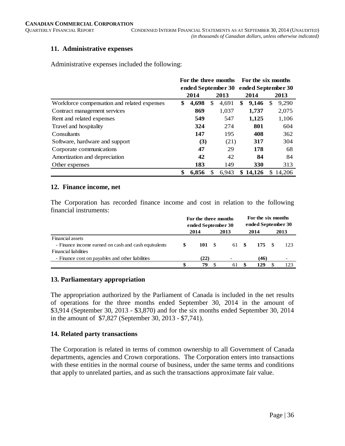#### **11. Administrative expenses**

Administrative expenses included the following:

|                                             | For the three months<br>ended September 30 |       |    |       |    | For the six months |    |        |  |  |  |
|---------------------------------------------|--------------------------------------------|-------|----|-------|----|--------------------|----|--------|--|--|--|
|                                             |                                            |       |    |       |    | ended September 30 |    |        |  |  |  |
|                                             |                                            | 2014  |    | 2013  |    | 2014               |    | 2013   |  |  |  |
| Workforce compensation and related expenses | \$                                         | 4,698 | \$ | 4,691 | \$ | 9,146              | S  | 9,290  |  |  |  |
| Contract management services                |                                            | 869   |    | 1,037 |    | 1,737              |    | 2,075  |  |  |  |
| Rent and related expenses                   |                                            | 549   |    | 547   |    | 1,125              |    | 1,106  |  |  |  |
| Travel and hospitality                      |                                            | 324   |    | 274   |    | 801                |    | 604    |  |  |  |
| Consultants                                 |                                            | 147   |    | 195   |    | 408                |    | 362    |  |  |  |
| Software, hardware and support              |                                            | (3)   |    | (21)  |    | 317                |    | 304    |  |  |  |
| Corporate communications                    |                                            | 47    |    | 29    |    | 178                |    | 68     |  |  |  |
| Amortization and depreciation               |                                            | 42    |    | 42    |    | 84                 |    | 84     |  |  |  |
| Other expenses                              |                                            | 183   |    | 149   |    | <b>330</b>         |    | 313    |  |  |  |
|                                             | \$                                         | 6,856 |    | 6.943 | \$ | 14.126             | S. | 14.206 |  |  |  |

#### **12. Finance income, net**

The Corporation has recorded finance income and cost in relation to the following financial instruments:

|                                                      | For the three months<br>ended September 30 |        |    | For the six months<br>ended September 30 |  |      |      |      |
|------------------------------------------------------|--------------------------------------------|--------|----|------------------------------------------|--|------|------|------|
|                                                      |                                            | 2014   |    | 2013                                     |  | 2014 |      | 2013 |
| Financial assets                                     |                                            |        |    |                                          |  |      |      |      |
| - Finance income earned on cash and cash equivalents | \$.                                        | 101 \$ |    | 61 \$                                    |  | 175  | - \$ | -123 |
| <b>Financial liabilities</b>                         |                                            |        |    |                                          |  |      |      |      |
| - Finance cost on payables and other liabilities     |                                            | (22)   |    |                                          |  | (46) |      |      |
|                                                      |                                            | 79     | -S | 61                                       |  | 129  |      | 123  |

#### **13. Parliamentary appropriation**

The appropriation authorized by the Parliament of Canada is included in the net results of operations for the three months ended September 30, 2014 in the amount of \$3,914 (September 30, 2013 - \$3,870) and for the six months ended September 30, 2014 in the amount of \$7,827 (September 30, 2013 - \$7,741).

#### **14. Related party transactions**

The Corporation is related in terms of common ownership to all Government of Canada departments, agencies and Crown corporations. The Corporation enters into transactions with these entities in the normal course of business, under the same terms and conditions that apply to unrelated parties, and as such the transactions approximate fair value.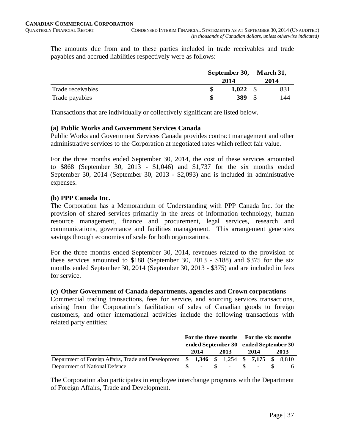The amounts due from and to these parties included in trade receivables and trade payables and accrued liabilities respectively were as follows:

|                   |      |       | September 30, March 31, |      |  |
|-------------------|------|-------|-------------------------|------|--|
|                   | 2014 |       |                         | 2014 |  |
| Trade receivables |      | 1,022 | -S                      | 831  |  |
| Trade payables    |      | 389   |                         | 144  |  |

Transactions that are individually or collectively significant are listed below.

#### **(a) Public Works and Government Services Canada**

Public Works and Government Services Canada provides contract management and other administrative services to the Corporation at negotiated rates which reflect fair value.

For the three months ended September 30, 2014, the cost of these services amounted to \$868 (September 30, 2013 - \$1,046) and \$1,737 for the six months ended September 30, 2014 (September 30, 2013 - \$2,093) and is included in administrative expenses.

#### **(b) PPP Canada Inc.**

The Corporation has a Memorandum of Understanding with PPP Canada Inc. for the provision of shared services primarily in the areas of information technology, human resource management, finance and procurement, legal services, research and communications, governance and facilities management. This arrangement generates savings through economies of scale for both organizations.

For the three months ended September 30, 2014, revenues related to the provision of these services amounted to \$188 (September 30, 2013 - \$188) and \$375 for the six months ended September 30, 2014 (September 30, 2013 - \$375) and are included in fees for service.

#### **(c) Other Government of Canada departments, agencies and Crown corporations**

Commercial trading transactions, fees for service, and sourcing services transactions, arising from the Corporation's facilitation of sales of Canadian goods to foreign customers, and other international activities include the following transactions with related party entities:

|                                                                                      | For the three months For the six months |      |  |      |  |                 |  |      |
|--------------------------------------------------------------------------------------|-----------------------------------------|------|--|------|--|-----------------|--|------|
|                                                                                      | ended September 30 ended September 30   |      |  |      |  |                 |  |      |
|                                                                                      |                                         | 2014 |  | 2013 |  | 2014            |  | 2013 |
| Department of Foreign Affairs, Trade and Development \$1,346 \$1,254 \$7,175 \$8,810 |                                         |      |  |      |  |                 |  |      |
| Department of National Defence                                                       |                                         |      |  |      |  | $S - S - S - S$ |  |      |

The Corporation also participates in employee interchange programs with the Department of Foreign Affairs, Trade and Development.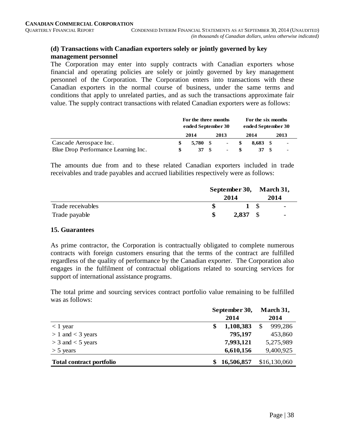#### **(d) Transactions with Canadian exporters solely or jointly governed by key management personnel**

The Corporation may enter into supply contracts with Canadian exporters whose financial and operating policies are solely or jointly governed by key management personnel of the Corporation. The Corporation enters into transactions with these Canadian exporters in the normal course of business, under the same terms and conditions that apply to unrelated parties, and as such the transactions approximate fair value. The supply contract transactions with related Canadian exporters were as follows:

|                                     | For the three months<br>ended September 30 |                | For the six months<br>ended September 30 |            |  |                          |  |  |
|-------------------------------------|--------------------------------------------|----------------|------------------------------------------|------------|--|--------------------------|--|--|
|                                     | 2014                                       | 2013           |                                          | 2014       |  | 2013                     |  |  |
| Cascade Aerospace Inc.              | 5.780 S                                    | $\sim$         | S                                        | $8.683$ \$ |  | $\overline{\phantom{a}}$ |  |  |
| Blue Drop Performance Learning Inc. | $37 \text{ s}$                             | $\blacksquare$ |                                          |            |  | $\overline{\phantom{0}}$ |  |  |

The amounts due from and to these related Canadian exporters included in trade receivables and trade payables and accrued liabilities respectively were as follows:

|                   | September 30, March 31,<br>2014 |       |      |                          |  |  |
|-------------------|---------------------------------|-------|------|--------------------------|--|--|
|                   |                                 |       |      | 2014                     |  |  |
| Trade receivables |                                 | 1 S   |      | $\sim$                   |  |  |
| Trade payable     |                                 | 2,837 | - \$ | $\overline{\phantom{0}}$ |  |  |

#### **15. Guarantees**

As prime contractor, the Corporation is contractually obligated to complete numerous contracts with foreign customers ensuring that the terms of the contract are fulfilled regardless of the quality of performance by the Canadian exporter. The Corporation also engages in the fulfilment of contractual obligations related to sourcing services for support of international assistance programs.

The total prime and sourcing services contract portfolio value remaining to be fulfilled was as follows:

|                                 | September 30,   | March 31,     |
|---------------------------------|-----------------|---------------|
|                                 | 2014            | 2014          |
| $<$ 1 year                      | 1,108,383<br>\$ | 999,286<br>\$ |
| $> 1$ and $<$ 3 years           | 795,197         | 453,860       |
| $>$ 3 and $<$ 5 years           | 7,993,121       | 5,275,989     |
| $>$ 5 years                     | 6,610,156       | 9,400,925     |
| <b>Total contract portfolio</b> | 16,506,857      | \$16,130,060  |